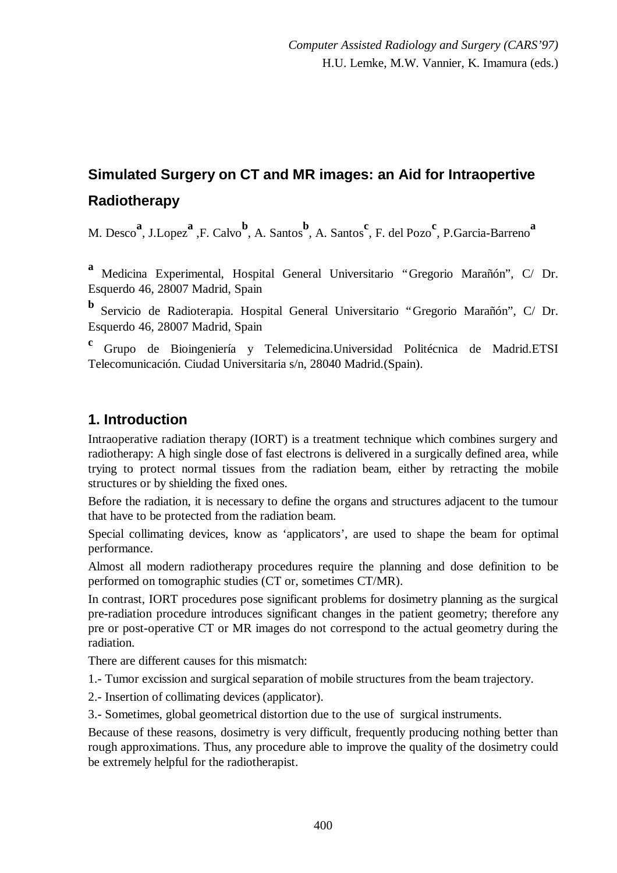# **Simulated Surgery on CT and MR images: an Aid for Intraopertive Radiotherapy**

M. Desco<sup>a</sup>, J.Lopez<sup>a</sup>, F. Calvo<sup>b</sup>, A. Santos<sup>b</sup>, A. Santos<sup>c</sup>, F. del Pozo<sup>c</sup>, P. Garcia-Barreno<sup>a</sup>

**<sup>a</sup>**Medicina Experimental, Hospital General Universitario "Gregorio Marañón", C/ Dr. Esquerdo 46, 28007 Madrid, Spain

**b** Servicio de Radioterapia. Hospital General Universitario "Gregorio Marañón", C/ Dr. Esquerdo 46, 28007 Madrid, Spain

**<sup>c</sup>**Grupo de Bioingeniería y Telemedicina.Universidad Politécnica de Madrid.ETSI Telecomunicación. Ciudad Universitaria s/n, 28040 Madrid.(Spain).

### **1. Introduction**

Intraoperative radiation therapy (IORT) is a treatment technique which combines surgery and radiotherapy: A high single dose of fast electrons is delivered in a surgically defined area, while trying to protect normal tissues from the radiation beam, either by retracting the mobile structures or by shielding the fixed ones.

Before the radiation, it is necessary to define the organs and structures adjacent to the tumour that have to be protected from the radiation beam.

Special collimating devices, know as 'applicators', are used to shape the beam for optimal performance.

Almost all modern radiotherapy procedures require the planning and dose definition to be performed on tomographic studies (CT or, sometimes CT/MR).

In contrast, IORT procedures pose significant problems for dosimetry planning as the surgical pre-radiation procedure introduces significant changes in the patient geometry; therefore any pre or post-operative CT or MR images do not correspond to the actual geometry during the radiation.

There are different causes for this mismatch:

1.- Tumor excission and surgical separation of mobile structures from the beam trajectory.

2.- Insertion of collimating devices (applicator).

3.- Sometimes, global geometrical distortion due to the use of surgical instruments.

Because of these reasons, dosimetry is very difficult, frequently producing nothing better than rough approximations. Thus, any procedure able to improve the quality of the dosimetry could be extremely helpful for the radiotherapist.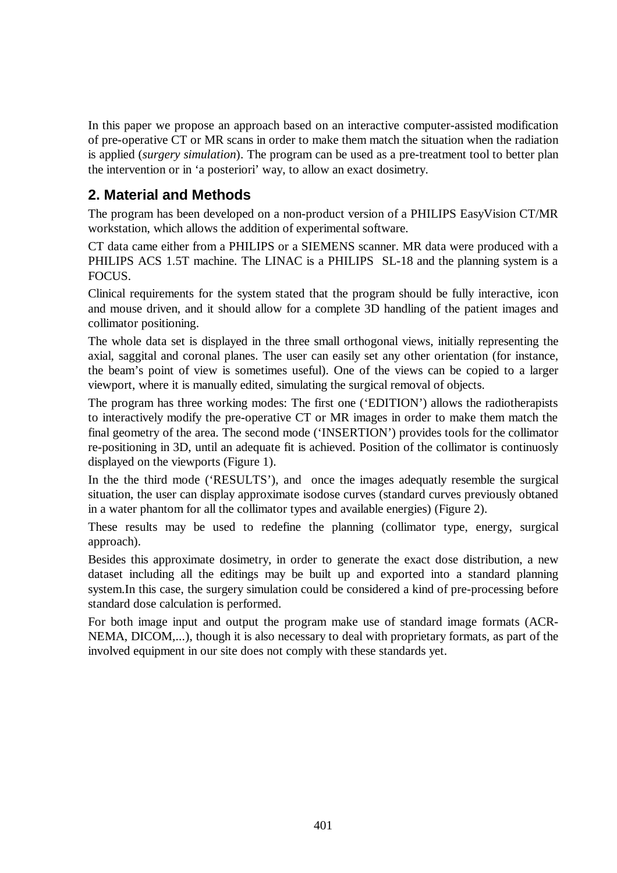In this paper we propose an approach based on an interactive computer-assisted modification of pre-operative CT or MR scans in order to make them match the situation when the radiation is applied (*surgery simulation*). The program can be used as a pre-treatment tool to better plan the intervention or in 'a posteriori' way, to allow an exact dosimetry.

# **2. Material and Methods**

The program has been developed on a non-product version of a PHILIPS EasyVision CT/MR workstation, which allows the addition of experimental software.

CT data came either from a PHILIPS or a SIEMENS scanner. MR data were produced with a PHILIPS ACS 1.5T machine. The LINAC is a PHILIPS SL-18 and the planning system is a FOCUS.

Clinical requirements for the system stated that the program should be fully interactive, icon and mouse driven, and it should allow for a complete 3D handling of the patient images and collimator positioning.

The whole data set is displayed in the three small orthogonal views, initially representing the axial, saggital and coronal planes. The user can easily set any other orientation (for instance, the beam's point of view is sometimes useful). One of the views can be copied to a larger viewport, where it is manually edited, simulating the surgical removal of objects.

The program has three working modes: The first one ('EDITION') allows the radiotherapists to interactively modify the pre-operative CT or MR images in order to make them match the final geometry of the area. The second mode ('INSERTION') provides tools for the collimator re-positioning in 3D, until an adequate fit is achieved. Position of the collimator is continuosly displayed on the viewports (Figure 1).

In the the third mode ('RESULTS'), and once the images adequatly resemble the surgical situation, the user can display approximate isodose curves (standard curves previously obtaned in a water phantom for all the collimator types and available energies) (Figure 2).

These results may be used to redefine the planning (collimator type, energy, surgical approach).

Besides this approximate dosimetry, in order to generate the exact dose distribution, a new dataset including all the editings may be built up and exported into a standard planning system.In this case, the surgery simulation could be considered a kind of pre-processing before standard dose calculation is performed.

For both image input and output the program make use of standard image formats (ACR-NEMA, DICOM,...), though it is also necessary to deal with proprietary formats, as part of the involved equipment in our site does not comply with these standards yet.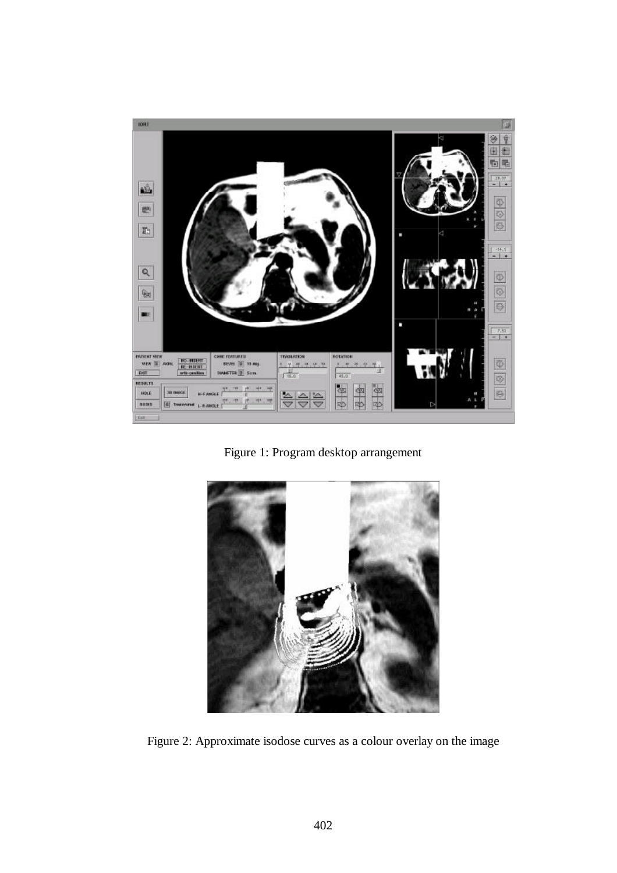

Figure 1: Program desktop arrangement



Figure 2: Approximate isodose curves as a colour overlay on the image